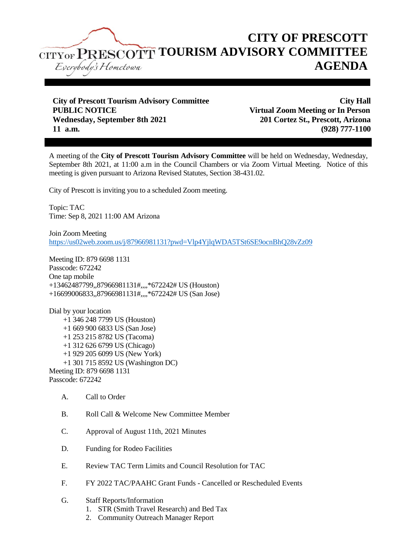

**City of Prescott Tourism Advisory Committee City Hall PUBLIC NOTICE Virtual Zoom Meeting or In Person Wednesday, September 8th 2021 201 Cortez St., Prescott, Arizona 11 a.m. (928) 777-1100**

A meeting of the **City of Prescott Tourism Advisory Committee** will be held on Wednesday, Wednesday, September 8th 2021, at 11:00 a.m in the Council Chambers or via Zoom Virtual Meeting. Notice of this meeting is given pursuant to Arizona Revised Statutes, Section 38-431.02.

City of Prescott is inviting you to a scheduled Zoom meeting.

Topic: TAC Time: Sep 8, 2021 11:00 AM Arizona

Join Zoom Meeting <https://us02web.zoom.us/j/87966981131?pwd=Vlp4YjlqWDA5TSt6SE9ocnBhQ28vZz09>

Meeting ID: 879 6698 1131 Passcode: 672242 One tap mobile +13462487799,,87966981131#,,,,\*672242# US (Houston) +16699006833,,87966981131#,,,,\*672242# US (San Jose)

Dial by your location +1 346 248 7799 US (Houston) +1 669 900 6833 US (San Jose) +1 253 215 8782 US (Tacoma) +1 312 626 6799 US (Chicago) +1 929 205 6099 US (New York) +1 301 715 8592 US (Washington DC) Meeting ID: 879 6698 1131 Passcode: 672242

- A. Call to Order
- B. Roll Call & Welcome New Committee Member
- C. Approval of August 11th, 2021 Minutes
- D. Funding for Rodeo Facilities
- E. Review TAC Term Limits and Council Resolution for TAC
- F. FY 2022 TAC/PAAHC Grant Funds Cancelled or Rescheduled Events
- G. Staff Reports/Information
	- 1. STR (Smith Travel Research) and Bed Tax
	- 2. Community Outreach Manager Report